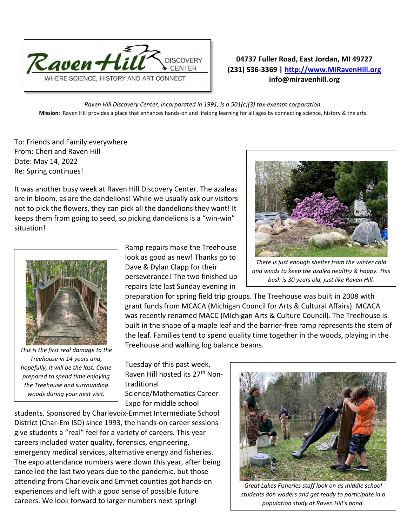

## **04737 Fuller Road, East Jordan, MI 49727 (231) 536-3369 | [http://www.MiRavenHill.org](http://www.miravenhill.org/) info@miravenhill.org**

*Raven Hill Discovery Center, incorporated in 1991, is a 501(c)(3) tax-exempt corporation.* **Mission:** Raven Hill provides a place that enhances hands-on and lifelong learning for all ages by connecting science, history & the arts.

To: Friends and Family everywhere From: Cheri and Raven Hill Date: May 14, 2022 Re: Spring continues!

It was another busy week at Raven Hill Discovery Center. The azaleas are in bloom, as are the dandelions! While we usually ask our visitors not to pick the flowers, they can pick all the dandelions they want! It keeps them from going to seed, so picking dandelions is a "win-win" situation!



*This is the first real damage to the Treehouse in 14 years and, hopefully, it will be the last. Come prepared to spend time enjoying the Treehouse and surrounding woods during your next visit.*

Ramp repairs make the Treehouse look as good as new! Thanks go to Dave & Dylan Clapp for their perseverance! The two finished up repairs late last Sunday evening in

preparation for spring field trip groups. The Treehouse was built in 2008 with grant funds from MCACA (Michigan Council for Arts & Cultural Affairs). MCACA was recently renamed MACC (Michigan Arts & Culture Council). The Treehouse is built in the shape of a maple leaf and the barrier-free ramp represents the stem of the leaf. Families tend to spend quality time together in the woods, playing in the Treehouse and walking log balance beams.

Tuesday of this past week, Raven Hill hosted its 27<sup>th</sup> Nontraditional Science/Mathematics Career Expo for middle school

students. Sponsored by Charlevoix-Emmet Intermediate School District (Char-Em ISD) since 1993, the hands-on career sessions give students a "real" feel for a variety of careers. This year careers included water quality, forensics, engineering, emergency medical services, alternative energy and fisheries. The expo attendance numbers were down this year, after being cancelled the last two years due to the pandemic, but those attending from Charlevoix and Emmet counties got hands-on experiences and left with a good sense of possible future careers. We look forward to larger numbers next spring!



*Great Lakes Fisheries staff look on as middle school students don waders and get ready to participate in a population study at Raven Hill's pond.* 



*There is just enough shelter from the winter cold and winds to keep the azalea healthy & happy. This bush is 30 years old, just like Raven Hill.*